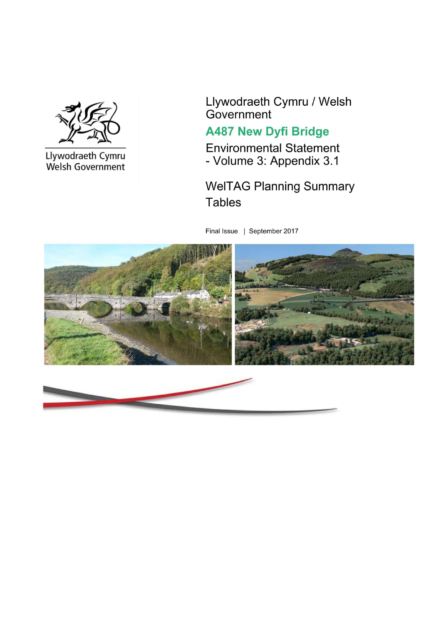

Llywodraeth Cymru Welsh Government Llywodraeth Cymru / Welsh Government

## **A487 New Dyfi Bridge**

**Environmental Statement** - Volume 3: Appendix 3.1

## **WelTAG Planning Summary Tables**

Final Issue | September 2017

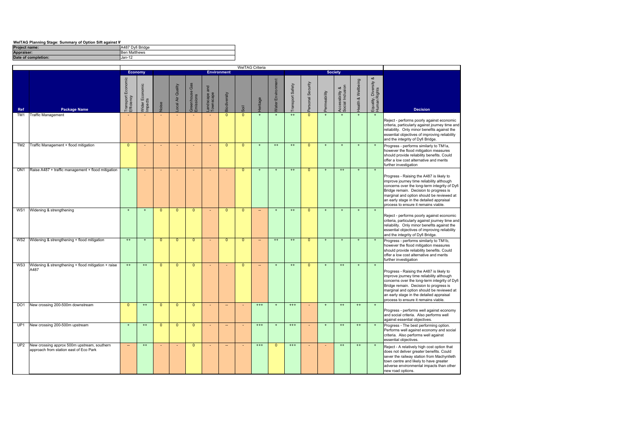| WelTAG Planning Stage: Summary of Option Sift against V |  |
|---------------------------------------------------------|--|
|                                                         |  |

| <b>Project name:</b> | A487 Dyfi Bridge    |
|----------------------|---------------------|
| Appraiser:           | <b>Ben Matthews</b> |
| Date of completion:  | Uan-12              |

|                 |                                                                                       |                                     |                                          |                |                          |                                            |                          |                          |                          | WelTAG Criteria          |                      |                 |                  |             |                                     |                    |                                            |                                                                                                                                                                                                                                                                                                                   |
|-----------------|---------------------------------------------------------------------------------------|-------------------------------------|------------------------------------------|----------------|--------------------------|--------------------------------------------|--------------------------|--------------------------|--------------------------|--------------------------|----------------------|-----------------|------------------|-------------|-------------------------------------|--------------------|--------------------------------------------|-------------------------------------------------------------------------------------------------------------------------------------------------------------------------------------------------------------------------------------------------------------------------------------------------------------------|
|                 |                                                                                       |                                     | <b>Economy</b>                           |                |                          |                                            |                          | <b>Environment</b>       |                          |                          |                      |                 |                  |             | <b>Society</b>                      |                    |                                            |                                                                                                                                                                                                                                                                                                                   |
| Ref             | <b>Package Name</b>                                                                   | Economic<br>Transport<br>Efficiency | Economic<br><b>SO</b><br>Impact<br>Wider | Joise          | ocal Air Quality         | Gas<br>eenhouse<br>Greenhouse<br>Emissions | andscape and<br>ownscape | Biodiversity             | Soil                     | <b>leritage</b>          | Environment<br>Vater | ransport Safety | ersonal Security | ermeability | Accessibility &<br>Social Inclusion | lealth & Wellbeing | ಹ<br>Equality, Diversity &<br>Human Rights | <b>Decision</b>                                                                                                                                                                                                                                                                                                   |
| TM <sub>1</sub> | <b>Traffic Management</b>                                                             |                                     |                                          |                |                          |                                            |                          | $\Omega$                 | $\mathbf{0}$             |                          |                      | $++$            | $\Omega$         |             | $\ddot{}$                           |                    |                                            | Reject - performs poorly against economic<br>criteria, particularly against journey time and<br>reliability. Only minor benefits against the<br>essential objectives of improving reliability<br>and the integrity of Dyfi Bridge.                                                                                |
| TM <sub>2</sub> | Traffic Management + flood mitigation                                                 | $\mathbf{0}$                        | $\sim$                                   | $\sim$         | $\overline{\phantom{a}}$ | $\blacksquare$                             | $\sim$                   | $\mathbf{0}$             | $\mathbf{0}$             | $+$                      | $^{++}$              | $^{++}$         | $\mathbf{0}$     | $\ddot{}$   | $\begin{array}{c} + \end{array}$    | $+$                | $+$                                        | Progress - performs similarly to TM1a,<br>however the flood mitigation measures<br>should provide reliability benefits. Could<br>offer a low cost alternative and merits<br>further investigation                                                                                                                 |
| ON <sub>1</sub> | Raise A487 + traffic management + flood mitigation                                    | $\pm$                               | $\sim$                                   | $\sim$         | $\overline{\phantom{a}}$ | $\sim$                                     | $\sim$                   | $\sim$                   | $\mathbf{0}$             | $\pm$                    | $\ddot{}$            | $^{++}$         | $\mathbf{0}$     | $\ddot{}$   | $^{++}$                             | $\pm$              | $+$                                        | Progress - Raising the A487 is likely to<br>improve journey time reliability although<br>concerns over the long-term integrity of Dyfi<br>Bridge remain. Decision to progress is<br>marginal and option should be reviewed at<br>an early stage in the detailed appraisal<br>process to ensure it remains viable. |
| WS1             | Widening & strengthening                                                              | $\overline{+}$                      | $+$                                      | $\Omega$       | $\Omega$                 | $\Omega$                                   | ÷.                       | $\Omega$                 | $\mathbf{0}$             | ÷.                       | $+$                  | $^{++}$         | $\Omega$         | $+$         | $\ddot{}$                           | $\ddot{}$          | $\ddot{}$                                  | Reject - performs poorly against economic<br>criteria, particularly against journey time and<br>reliability. Only minor benefits against the<br>essential objectives of improving reliability<br>and the integrity of Dyfi Bridge.                                                                                |
| WS2             | Widening & strengthening + flood mitigation                                           | $++$                                | $\ddot{}$                                | $\mathbf{0}$   | $\mathbf{0}$             | $\overline{0}$                             | ÷,                       | $\mathbf{0}$             | $\mathbf{0}$             | $\overline{\phantom{a}}$ | $^{++}$              | $^{++}$         | $\mathbf{0}$     | $\ddot{}$   | $\begin{array}{c} + \end{array}$    | $\ddot{}$          | $\pm$                                      | Progress - performs similarly to TM1b,<br>however the flood mitigation measures<br>should provide reliability benefits. Could<br>offer a low cost alternative and merits<br>further investigation                                                                                                                 |
| WS3             | Widening & strengthening + flood mitigation + raise<br>A487                           | $++$                                | $^{++}$                                  | $\overline{0}$ | $\overline{0}$           | $\overline{0}$                             | $\sim$                   | $\sim$                   | $\mathbf{0}$             | $\overline{\phantom{a}}$ | $\ddot{}$            | $^{++}$         | $\overline{0}$   | $\ddot{}$   | $++$                                | $\ddot{}$          | $\pm$                                      | Progress - Raising the A487 is likely to<br>improve journey time reliability although<br>concerns over the long-term integrity of Dyfi<br>Bridge remain. Decision to progress is<br>marginal and option should be reviewed at<br>an early stage in the detailed appraisal<br>process to ensure it remains viable. |
| DO <sub>1</sub> | New crossing 200-500m downstream                                                      | $\mathbf 0$                         | $^{++}$                                  | $\mathbf{0}$   | $\mathbf{0}$             | $\mathbf{0}$                               | $\blacksquare$           | $\overline{\phantom{a}}$ | $\overline{\phantom{a}}$ | $^{+++}$                 | $^\mathrm{+}$        | $***$           |                  | $\ddot{}$   | $^{++}$                             | $^{++}$            | $\ddot{}$                                  | Progress - performs well against economy<br>and social criteria. Also performs well<br>against essential objectives.                                                                                                                                                                                              |
| UP <sub>1</sub> | New crossing 200-500m upstream                                                        | $+$                                 | $^{++}$                                  | $\mathbf{0}$   | $\mathbf{0}$             | $\mathbf{0}$                               | $\omega$                 | $\sim$                   | $\overline{\phantom{a}}$ | $^{+++}$                 | $\ddot{}$            | $***$           |                  | $+$         | $^{++}$                             | $^{++}$            | $+$                                        | Progress - The best performing option.<br>Performs well against economy and social<br>criteria. Also performs well against<br>essential objectives.                                                                                                                                                               |
| UP <sub>2</sub> | New crossing approx 500m upstream, southern<br>approach from station east of Eco Park | н,                                  | $^{++}$                                  |                |                          | $\mathbf{0}$                               |                          | --                       |                          | $^{+++}$                 | $\mathbf{0}$         | $^{+++}$        |                  | ٠           | $^{++}$                             | $^{++}$            | $\pm$                                      | Reject - A relatively high cost option that<br>does not deliver greater benefits. Could<br>sever the railway station from Machynlleth<br>town centre and likely to have greater<br>adverse environmental impacts than other<br>new road options.                                                                  |